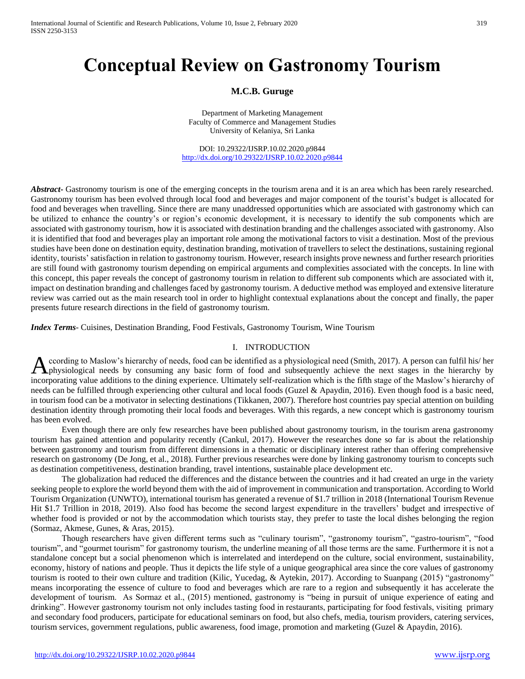# **Conceptual Review on Gastronomy Tourism**

# **M.C.B. Guruge**

Department of Marketing Management Faculty of Commerce and Management Studies University of Kelaniya, Sri Lanka

DOI: 10.29322/IJSRP.10.02.2020.p9844 <http://dx.doi.org/10.29322/IJSRP.10.02.2020.p9844>

*Abstract*- Gastronomy tourism is one of the emerging concepts in the tourism arena and it is an area which has been rarely researched. Gastronomy tourism has been evolved through local food and beverages and major component of the tourist's budget is allocated for food and beverages when travelling. Since there are many unaddressed opportunities which are associated with gastronomy which can be utilized to enhance the country's or region's economic development, it is necessary to identify the sub components which are associated with gastronomy tourism, how it is associated with destination branding and the challenges associated with gastronomy. Also it is identified that food and beverages play an important role among the motivational factors to visit a destination. Most of the previous studies have been done on destination equity, destination branding, motivation of travellers to select the destinations, sustaining regional identity, tourists' satisfaction in relation to gastronomy tourism. However, research insights prove newness and further research priorities are still found with gastronomy tourism depending on empirical arguments and complexities associated with the concepts. In line with this concept, this paper reveals the concept of gastronomy tourism in relation to different sub components which are associated with it, impact on destination branding and challenges faced by gastronomy tourism. A deductive method was employed and extensive literature review was carried out as the main research tool in order to highlight contextual explanations about the concept and finally, the paper presents future research directions in the field of gastronomy tourism.

*Index Terms*- Cuisines, Destination Branding, Food Festivals, Gastronomy Tourism, Wine Tourism

### I. INTRODUCTION

ccording to Maslow's hierarchy of needs, food can be identified as a physiological need (Smith, 2017). A person can fulfil his/ her A ccording to Maslow's hierarchy of needs, food can be identified as a physiological need (Smith, 2017). A person can fulfil his/ her physiological needs by consuming any basic form of food and subsequently achieve the nex incorporating value additions to the dining experience. Ultimately self-realization which is the fifth stage of the Maslow's hierarchy of needs can be fulfilled through experiencing other cultural and local foods (Guzel & Apaydin, 2016). Even though food is a basic need, in tourism food can be a motivator in selecting destinations (Tikkanen, 2007). Therefore host countries pay special attention on building destination identity through promoting their local foods and beverages. With this regards, a new concept which is gastronomy tourism has been evolved.

Even though there are only few researches have been published about gastronomy tourism, in the tourism arena gastronomy tourism has gained attention and popularity recently (Cankul, 2017). However the researches done so far is about the relationship between gastronomy and tourism from different dimensions in a thematic or disciplinary interest rather than offering comprehensive research on gastronomy (De Jong, et al., 2018). Further previous researches were done by linking gastronomy tourism to concepts such as destination competitiveness, destination branding, travel intentions, sustainable place development etc.

The globalization had reduced the differences and the distance between the countries and it had created an urge in the variety seeking people to explore the world beyond them with the aid of improvement in communication and transportation. According to World Tourism Organization (UNWTO), international tourism has generated a revenue of \$1.7 trillion in 2018 (International Tourism Revenue Hit \$1.7 Trillion in 2018, 2019). Also food has become the second largest expenditure in the travellers' budget and irrespective of whether food is provided or not by the accommodation which tourists stay, they prefer to taste the local dishes belonging the region (Sormaz, Akmese, Gunes, & Aras, 2015).

Though researchers have given different terms such as "culinary tourism", "gastronomy tourism", "gastro-tourism", "food tourism", and "gourmet tourism" for gastronomy tourism, the underline meaning of all those terms are the same. Furthermore it is not a standalone concept but a social phenomenon which is interrelated and interdepend on the culture, social environment, sustainability, economy, history of nations and people. Thus it depicts the life style of a unique geographical area since the core values of gastronomy tourism is rooted to their own culture and tradition (Kilic, Yucedag, & Aytekin, 2017). According to Suanpang (2015) "gastronomy" means incorporating the essence of culture to food and beverages which are rare to a region and subsequently it has accelerate the development of tourism. As Sormaz et al., (2015) mentioned, gastronomy is "being in pursuit of unique experience of eating and drinking". However gastronomy tourism not only includes tasting food in restaurants, participating for food festivals, visiting primary and secondary food producers, participate for educational seminars on food, but also chefs, media, tourism providers, catering services, tourism services, government regulations, public awareness, food image, promotion and marketing (Guzel & Apaydin, 2016).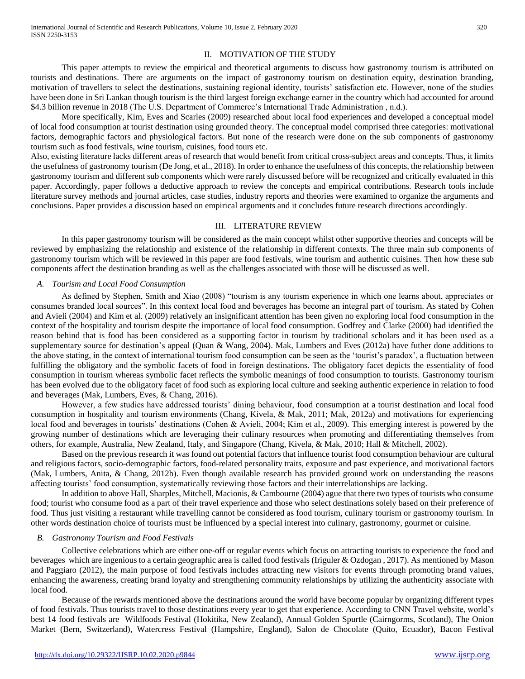This paper attempts to review the empirical and theoretical arguments to discuss how gastronomy tourism is attributed on tourists and destinations. There are arguments on the impact of gastronomy tourism on destination equity, destination branding, motivation of travellers to select the destinations, sustaining regional identity, tourists' satisfaction etc. However, none of the studies have been done in Sri Lankan though tourism is the third largest foreign exchange earner in the country which had accounted for around \$4.3 billion revenue in 2018 (The U.S. Department of Commerce's International Trade Administration , n.d.).

More specifically, Kim, Eves and Scarles (2009) researched about local food experiences and developed a conceptual model of local food consumption at tourist destination using grounded theory. The conceptual model comprised three categories: motivational factors, demographic factors and physiological factors. But none of the research were done on the sub components of gastronomy tourism such as food festivals, wine tourism, cuisines, food tours etc.

Also, existing literature lacks different areas of research that would benefit from critical cross-subject areas and concepts. Thus, it limits the usefulness of gastronomy tourism (De Jong, et al., 2018). In order to enhance the usefulness of this concepts, the relationship between gastronomy tourism and different sub components which were rarely discussed before will be recognized and critically evaluated in this paper. Accordingly, paper follows a deductive approach to review the concepts and empirical contributions. Research tools include literature survey methods and journal articles, case studies, industry reports and theories were examined to organize the arguments and conclusions. Paper provides a discussion based on empirical arguments and it concludes future research directions accordingly.

# III. LITERATURE REVIEW

In this paper gastronomy tourism will be considered as the main concept whilst other supportive theories and concepts will be reviewed by emphasizing the relationship and existence of the relationship in different contexts. The three main sub components of gastronomy tourism which will be reviewed in this paper are food festivals, wine tourism and authentic cuisines. Then how these sub components affect the destination branding as well as the challenges associated with those will be discussed as well.

### *A. Tourism and Local Food Consumption*

As defined by Stephen, Smith and Xiao (2008) "tourism is any tourism experience in which one learns about, appreciates or consumes branded local sources". In this context local food and beverages has become an integral part of tourism. As stated by Cohen and Avieli (2004) and Kim et al. (2009) relatively an insignificant attention has been given no exploring local food consumption in the context of the hospitality and tourism despite the importance of local food consumption. Godfrey and Clarke (2000) had identified the reason behind that is food has been considered as a supporting factor in tourism by traditional scholars and it has been used as a supplementary source for destination's appeal (Quan & Wang, 2004). Mak, Lumbers and Eves (2012a) have futher done additions to the above stating, in the context of international tourism food consumption can be seen as the 'tourist's paradox', a fluctuation between fulfilling the obligatory and the symbolic facets of food in foreign destinations. The obligatory facet depicts the essentiality of food consumption in tourism whereas symbolic facet reflects the symbolic meanings of food consumption to tourists. Gastronomy tourism has been evolved due to the obligatory facet of food such as exploring local culture and seeking authentic experience in relation to food and beverages (Mak, Lumbers, Eves, & Chang, 2016).

However, a few studies have addressed tourists' dining behaviour, food consumption at a tourist destination and local food consumption in hospitality and tourism environments (Chang, Kivela, & Mak, 2011; Mak, 2012a) and motivations for experiencing local food and beverages in tourists' destinations (Cohen & Avieli, 2004; Kim et al., 2009). This emerging interest is powered by the growing number of destinations which are leveraging their culinary resources when promoting and differentiating themselves from others, for example, Australia, New Zealand, Italy, and Singapore (Chang, Kivela, & Mak, 2010; Hall & Mitchell, 2002).

Based on the previous research it was found out potential factors that influence tourist food consumption behaviour are cultural and religious factors, socio-demographic factors, food-related personality traits, exposure and past experience, and motivational factors (Mak, Lumbers, Anita, & Chang, 2012b). Even though available research has provided ground work on understanding the reasons affecting tourists' food consumption, systematically reviewing those factors and their interrelationships are lacking.

In addition to above Hall, Sharples, Mitchell, Macionis, & Cambourne (2004) ague that there two types of tourists who consume food; tourist who consume food as a part of their travel experience and those who select destinations solely based on their preference of food. Thus just visiting a restaurant while travelling cannot be considered as food tourism, culinary tourism or gastronomy tourism. In other words destination choice of tourists must be influenced by a special interest into culinary, gastronomy, gourmet or cuisine.

### *B. Gastronomy Tourism and Food Festivals*

Collective celebrations which are either one-off or regular events which focus on attracting tourists to experience the food and beverages which are ingenious to a certain geographic area is called food festivals (Iriguler & Ozdogan , 2017). As mentioned by Mason and Paggiaro (2012), the main purpose of food festivals includes attracting new visitors for events through promoting brand values, enhancing the awareness, creating brand loyalty and strengthening community relationships by utilizing the authenticity associate with local food.

Because of the rewards mentioned above the destinations around the world have become popular by organizing different types of food festivals. Thus tourists travel to those destinations every year to get that experience. According to CNN Travel website, world's best 14 food festivals are Wildfoods Festival (Hokitika, New Zealand), Annual Golden Spurtle (Cairngorms, Scotland), The Onion Market (Bern, Switzerland), Watercress Festival (Hampshire, England), Salon de Chocolate (Quito, Ecuador), Bacon Festival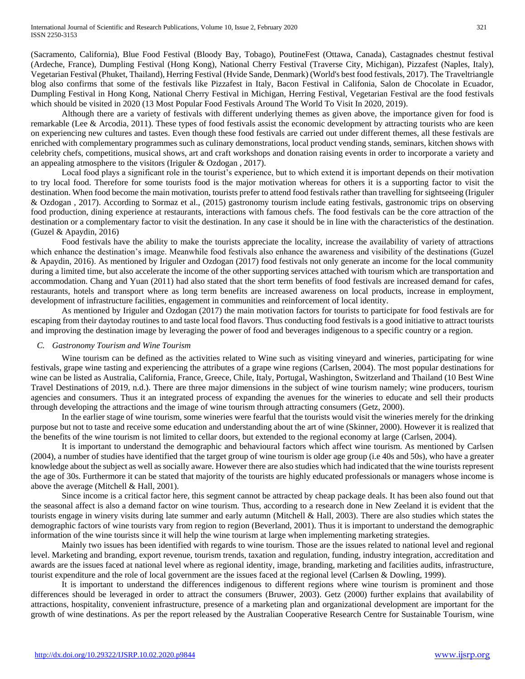(Sacramento, California), Blue Food Festival (Bloody Bay, Tobago), PoutineFest (Ottawa, Canada), Castagnades chestnut festival (Ardeche, France), Dumpling Festival (Hong Kong), National Cherry Festival (Traverse City, Michigan), Pizzafest (Naples, Italy), Vegetarian Festival (Phuket, Thailand), Herring Festival (Hvide Sande, Denmark) (World's best food festivals, 2017). The Traveltriangle blog also confirms that some of the festivals like Pizzafest in Italy, Bacon Festival in Califonia, Salon de Chocolate in Ecuador, Dumpling Festival in Hong Kong, National Cherry Festival in Michigan, Herring Festival, Vegetarian Festival are the food festivals which should be visited in 2020 (13 Most Popular Food Festivals Around The World To Visit In 2020, 2019).

Although there are a variety of festivals with different underlying themes as given above, the importance given for food is remarkable (Lee & Arcodia, 2011). These types of food festivals assist the economic development by attracting tourists who are keen on experiencing new cultures and tastes. Even though these food festivals are carried out under different themes, all these festivals are enriched with complementary programmes such as culinary demonstrations, local product vending stands, seminars, kitchen shows with celebrity chefs, competitions, musical shows, art and craft workshops and donation raising events in order to incorporate a variety and an appealing atmosphere to the visitors (Iriguler & Ozdogan , 2017).

Local food plays a significant role in the tourist's experience, but to which extend it is important depends on their motivation to try local food. Therefore for some tourists food is the major motivation whereas for others it is a supporting factor to visit the destination. When food become the main motivation, tourists prefer to attend food festivals rather than travelling for sightseeing (Iriguler & Ozdogan , 2017). According to Sormaz et al., (2015) gastronomy tourism include eating festivals, gastronomic trips on observing food production, dining experience at restaurants, interactions with famous chefs. The food festivals can be the core attraction of the destination or a complementary factor to visit the destination. In any case it should be in line with the characteristics of the destination. (Guzel & Apaydin, 2016)

Food festivals have the ability to make the tourists appreciate the locality, increase the availability of variety of attractions which enhance the destination's image. Meanwhile food festivals also enhance the awareness and visibility of the destinations (Guzel & Apaydin, 2016). As mentioned by Iriguler and Ozdogan (2017) food festivals not only generate an income for the local community during a limited time, but also accelerate the income of the other supporting services attached with tourism which are transportation and accommodation. Chang and Yuan (2011) had also stated that the short term benefits of food festivals are increased demand for cafes, restaurants, hotels and transport where as long term benefits are increased awareness on local products, increase in employment, development of infrastructure facilities, engagement in communities and reinforcement of local identity.

As mentioned by Iriguler and Ozdogan (2017) the main motivation factors for tourists to participate for food festivals are for escaping from their daytoday routines to and taste local food flavors. Thus conducting food festivals is a good initiative to attract tourists and improving the destination image by leveraging the power of food and beverages indigenous to a specific country or a region.

### *C. Gastronomy Tourism and Wine Tourism*

Wine tourism can be defined as the activities related to Wine such as visiting vineyard and wineries, participating for wine festivals, grape wine tasting and experiencing the attributes of a grape wine regions (Carlsen, 2004). The most popular destinations for wine can be listed as Australia, California, France, Greece, Chile, Italy, Portugal, Washington, Switzerland and Thailand (10 Best Wine Travel Destinations of 2019, n.d.). There are three major dimensions in the subject of wine tourism namely; wine producers, tourism agencies and consumers. Thus it an integrated process of expanding the avenues for the wineries to educate and sell their products through developing the attractions and the image of wine tourism through attracting consumers (Getz, 2000).

In the earlier stage of wine tourism, some wineries were fearful that the tourists would visit the wineries merely for the drinking purpose but not to taste and receive some education and understanding about the art of wine (Skinner, 2000). However it is realized that the benefits of the wine tourism is not limited to cellar doors, but extended to the regional economy at large (Carlsen, 2004).

It is important to understand the demographic and behavioural factors which affect wine tourism. As mentioned by Carlsen (2004), a number of studies have identified that the target group of wine tourism is older age group (i.e 40s and 50s), who have a greater knowledge about the subject as well as socially aware. However there are also studies which had indicated that the wine tourists represent the age of 30s. Furthermore it can be stated that majority of the tourists are highly educated professionals or managers whose income is above the average (Mitchell & Hall, 2001).

Since income is a critical factor here, this segment cannot be attracted by cheap package deals. It has been also found out that the seasonal affect is also a demand factor on wine tourism. Thus, according to a research done in New Zeeland it is evident that the tourists engage in winery visits during late summer and early autumn (Mitchell & Hall, 2003). There are also studies which states the demographic factors of wine tourists vary from region to region (Beverland, 2001). Thus it is important to understand the demographic information of the wine tourists since it will help the wine tourism at large when implementing marketing strategies.

Mainly two issues has been identified with regards to wine tourism. Those are the issues related to national level and regional level. Marketing and branding, export revenue, tourism trends, taxation and regulation, funding, industry integration, accreditation and awards are the issues faced at national level where as regional identity, image, branding, marketing and facilities audits, infrastructure, tourist expenditure and the role of local government are the issues faced at the regional level (Carlsen & Dowling, 1999).

It is important to understand the differences indigenous to different regions where wine tourism is prominent and those differences should be leveraged in order to attract the consumers (Bruwer, 2003). Getz (2000) further explains that availability of attractions, hospitality, convenient infrastructure, presence of a marketing plan and organizational development are important for the growth of wine destinations. As per the report released by the Australian Cooperative Research Centre for Sustainable Tourism, wine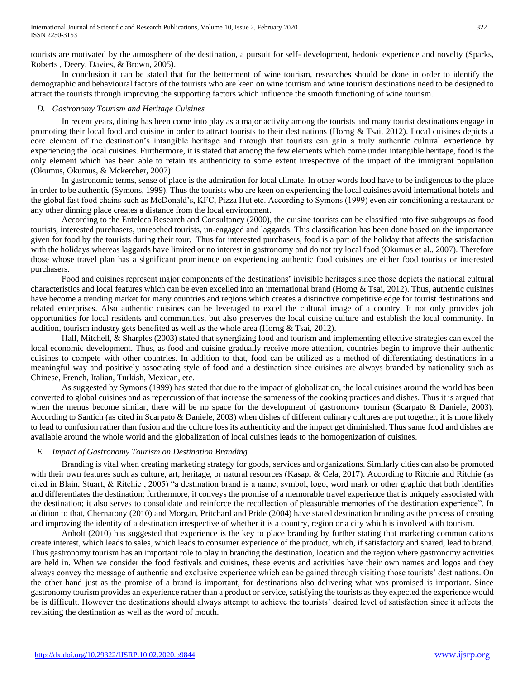tourists are motivated by the atmosphere of the destination, a pursuit for self- development, hedonic experience and novelty (Sparks, Roberts , Deery, Davies, & Brown, 2005).

In conclusion it can be stated that for the betterment of wine tourism, researches should be done in order to identify the demographic and behavioural factors of the tourists who are keen on wine tourism and wine tourism destinations need to be designed to attract the tourists through improving the supporting factors which influence the smooth functioning of wine tourism.

## *D. Gastronomy Tourism and Heritage Cuisines*

In recent years, dining has been come into play as a major activity among the tourists and many tourist destinations engage in promoting their local food and cuisine in order to attract tourists to their destinations (Horng & Tsai, 2012). Local cuisines depicts a core element of the destination's intangible heritage and through that tourists can gain a truly authentic cultural experience by experiencing the local cuisines. Furthermore, it is stated that among the few elements which come under intangible heritage, food is the only element which has been able to retain its authenticity to some extent irrespective of the impact of the immigrant population (Okumus, Okumus, & Mckercher, 2007)

In gastronomic terms, sense of place is the admiration for local climate. In other words food have to be indigenous to the place in order to be authentic (Symons, 1999). Thus the tourists who are keen on experiencing the local cuisines avoid international hotels and the global fast food chains such as McDonald's, KFC, Pizza Hut etc. According to Symons (1999) even air conditioning a restaurant or any other dinning place creates a distance from the local environment.

According to the Enteleca Research and Consultancy (2000), the cuisine tourists can be classified into five subgroups as food tourists, interested purchasers, unreached tourists, un-engaged and laggards. This classification has been done based on the importance given for food by the tourists during their tour. Thus for interested purchasers, food is a part of the holiday that affects the satisfaction with the holidays whereas laggards have limited or no interest in gastronomy and do not try local food (Okumus et al., 2007). Therefore those whose travel plan has a significant prominence on experiencing authentic food cuisines are either food tourists or interested purchasers.

Food and cuisines represent major components of the destinations' invisible heritages since those depicts the national cultural characteristics and local features which can be even excelled into an international brand (Horng & Tsai, 2012). Thus, authentic cuisines have become a trending market for many countries and regions which creates a distinctive competitive edge for tourist destinations and related enterprises. Also authentic cuisines can be leveraged to excel the cultural image of a country. It not only provides job opportunities for local residents and communities, but also preserves the local cuisine culture and establish the local community. In addition, tourism industry gets benefited as well as the whole area (Horng & Tsai, 2012).

Hall, Mitchell, & Sharples (2003) stated that synergizing food and tourism and implementing effective strategies can excel the local economic development. Thus, as food and cuisine gradually receive more attention, countries begin to improve their authentic cuisines to compete with other countries. In addition to that, food can be utilized as a method of differentiating destinations in a meaningful way and positively associating style of food and a destination since cuisines are always branded by nationality such as Chinese, French, Italian, Turkish, Mexican, etc.

As suggested by Symons (1999) has stated that due to the impact of globalization, the local cuisines around the world has been converted to global cuisines and as repercussion of that increase the sameness of the cooking practices and dishes. Thus it is argued that when the menus become similar, there will be no space for the development of gastronomy tourism (Scarpato & Daniele, 2003). According to Santich (as cited in Scarpato & Daniele, 2003) when dishes of different culinary cultures are put together, it is more likely to lead to confusion rather than fusion and the culture loss its authenticity and the impact get diminished. Thus same food and dishes are available around the whole world and the globalization of local cuisines leads to the homogenization of cuisines.

# *E. Impact of Gastronomy Tourism on Destination Branding*

Branding is vital when creating marketing strategy for goods, services and organizations. Similarly cities can also be promoted with their own features such as culture, art, heritage, or natural resources (Kasapi & Cela, 2017). According to Ritchie and Ritchie (as cited in Blain, Stuart, & Ritchie , 2005) "a destination brand is a name, symbol, logo, word mark or other graphic that both identifies and differentiates the destination; furthermore, it conveys the promise of a memorable travel experience that is uniquely associated with the destination; it also serves to consolidate and reinforce the recollection of pleasurable memories of the destination experience". In addition to that, Chernatony (2010) and Morgan, Pritchard and Pride (2004) have stated destination branding as the process of creating and improving the identity of a destination irrespective of whether it is a country, region or a city which is involved with tourism.

Anholt (2010) has suggested that experience is the key to place branding by further stating that marketing communications create interest, which leads to sales, which leads to consumer experience of the product, which, if satisfactory and shared, lead to brand. Thus gastronomy tourism has an important role to play in branding the destination, location and the region where gastronomy activities are held in. When we consider the food festivals and cuisines, these events and activities have their own names and logos and they always convey the message of authentic and exclusive experience which can be gained through visiting those tourists' destinations. On the other hand just as the promise of a brand is important, for destinations also delivering what was promised is important. Since gastronomy tourism provides an experience rather than a product or service, satisfying the tourists as they expected the experience would be is difficult. However the destinations should always attempt to achieve the tourists' desired level of satisfaction since it affects the revisiting the destination as well as the word of mouth.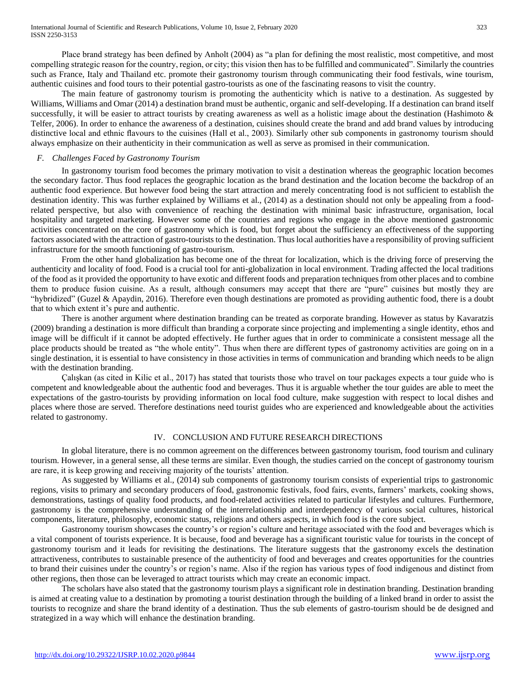Place brand strategy has been defined by Anholt (2004) as "a plan for defining the most realistic, most competitive, and most compelling strategic reason for the country, region, or city; this vision then has to be fulfilled and communicated". Similarly the countries such as France, Italy and Thailand etc. promote their gastronomy tourism through communicating their food festivals, wine tourism, authentic cuisines and food tours to their potential gastro-tourists as one of the fascinating reasons to visit the country.

The main feature of gastronomy tourism is promoting the authenticity which is native to a destination. As suggested by Williams, Williams and Omar (2014) a destination brand must be authentic, organic and self-developing. If a destination can brand itself successfully, it will be easier to attract tourists by creating awareness as well as a holistic image about the destination (Hashimoto & Telfer, 2006). In order to enhance the awareness of a destination, cuisines should create the brand and add brand values by introducing distinctive local and ethnic flavours to the cuisines (Hall et al., 2003). Similarly other sub components in gastronomy tourism should always emphasize on their authenticity in their communication as well as serve as promised in their communication.

#### *F. Challenges Faced by Gastronomy Tourism*

In gastronomy tourism food becomes the primary motivation to visit a destination whereas the geographic location becomes the secondary factor. Thus food replaces the geographic location as the brand destination and the location become the backdrop of an authentic food experience. But however food being the start attraction and merely concentrating food is not sufficient to establish the destination identity. This was further explained by Williams et al., (2014) as a destination should not only be appealing from a foodrelated perspective, but also with convenience of reaching the destination with minimal basic infrastructure, organisation, local hospitality and targeted marketing. However some of the countries and regions who engage in the above mentioned gastronomic activities concentrated on the core of gastronomy which is food, but forget about the sufficiency an effectiveness of the supporting factors associated with the attraction of gastro-tourists to the destination. Thus local authorities have a responsibility of proving sufficient infrastructure for the smooth functioning of gastro-tourism.

From the other hand globalization has become one of the threat for localization, which is the driving force of preserving the authenticity and locality of food. Food is a crucial tool for anti-globalization in local environment. Trading affected the local traditions of the food as it provided the opportunity to have exotic and different foods and preparation techniques from other places and to combine them to produce fusion cuisine. As a result, although consumers may accept that there are "pure" cuisines but mostly they are "hybridized" (Guzel & Apaydin, 2016). Therefore even though destinations are promoted as providing authentic food, there is a doubt that to which extent it's pure and authentic.

There is another argument where destination branding can be treated as corporate branding. However as status by Kavaratzis (2009) branding a destination is more difficult than branding a corporate since projecting and implementing a single identity, ethos and image will be difficult if it cannot be adopted effectively. He further agues that in order to comminicate a consistent message all the place products should be treated as "the whole entity". Thus when there are different types of gastronomy activities are going on in a single destination, it is essential to have consistency in those activities in terms of communication and branding which needs to be align with the destination branding.

Çalışkan (as cited in Kilic et al., 2017) has stated that tourists those who travel on tour packages expects a tour guide who is competent and knowledgeable about the authentic food and beverages. Thus it is arguable whether the tour guides are able to meet the expectations of the gastro-tourists by providing information on local food culture, make suggestion with respect to local dishes and places where those are served. Therefore destinations need tourist guides who are experienced and knowledgeable about the activities related to gastronomy.

### IV. CONCLUSION AND FUTURE RESEARCH DIRECTIONS

In global literature, there is no common agreement on the differences between gastronomy tourism, food tourism and culinary tourism. However, in a general sense, all these terms are similar. Even though, the studies carried on the concept of gastronomy tourism are rare, it is keep growing and receiving majority of the tourists' attention.

As suggested by Williams et al., (2014) sub components of gastronomy tourism consists of experiential trips to gastronomic regions, visits to primary and secondary producers of food, gastronomic festivals, food fairs, events, farmers' markets, cooking shows, demonstrations, tastings of quality food products, and food-related activities related to particular lifestyles and cultures. Furthermore, gastronomy is the comprehensive understanding of the interrelationship and interdependency of various social cultures, historical components, literature, philosophy, economic status, religions and others aspects, in which food is the core subject.

Gastronomy tourism showcases the country's or region's culture and heritage associated with the food and beverages which is a vital component of tourists experience. It is because, food and beverage has a significant touristic value for tourists in the concept of gastronomy tourism and it leads for revisiting the destinations. The literature suggests that the gastronomy excels the destination attractiveness, contributes to sustainable presence of the authenticity of food and beverages and creates opportunities for the countries to brand their cuisines under the country's or region's name. Also if the region has various types of food indigenous and distinct from other regions, then those can be leveraged to attract tourists which may create an economic impact.

The scholars have also stated that the gastronomy tourism plays a significant role in destination branding. Destination branding is aimed at creating value to a destination by promoting a tourist destination through the building of a linked brand in order to assist the tourists to recognize and share the brand identity of a destination. Thus the sub elements of gastro-tourism should be de designed and strategized in a way which will enhance the destination branding.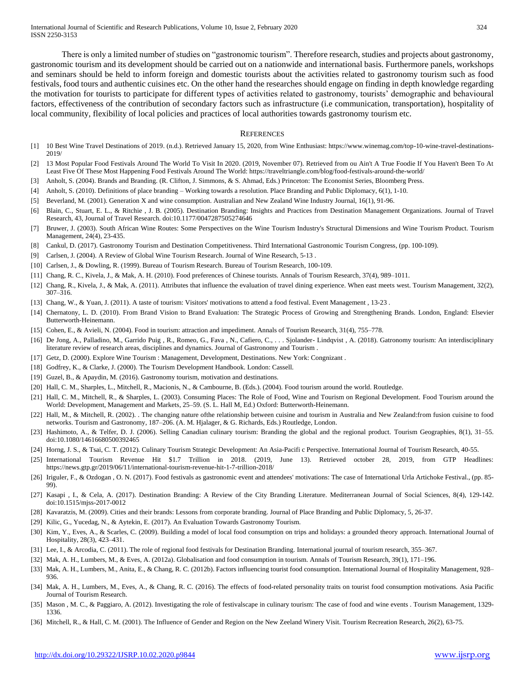There is only a limited number of studies on "gastronomic tourism". Therefore research, studies and projects about gastronomy, gastronomic tourism and its development should be carried out on a nationwide and international basis. Furthermore panels, workshops and seminars should be held to inform foreign and domestic tourists about the activities related to gastronomy tourism such as food festivals, food tours and authentic cuisines etc. On the other hand the researches should engage on finding in depth knowledge regarding the motivation for tourists to participate for different types of activities related to gastronomy, tourists' demographic and behavioural factors, effectiveness of the contribution of secondary factors such as infrastructure (i.e communication, transportation), hospitality of local community, flexibility of local policies and practices of local authorities towards gastronomy tourism etc.

#### **REFERENCES**

- [1] 10 Best Wine Travel Destinations of 2019. (n.d.). Retrieved January 15, 2020, from Wine Enthusiast: https://www.winemag.com/top-10-wine-travel-destinations-2019/
- [2] 13 Most Popular Food Festivals Around The World To Visit In 2020. (2019, November 07). Retrieved from ou Ain't A True Foodie If You Haven't Been To At Least Five Of These Most Happening Food Festivals Around The World: https://traveltriangle.com/blog/food-festivals-around-the-world/
- [3] Anholt, S. (2004). Brands and Branding. (R. Clifton, J. Simmons, & S. Ahmad, Eds.) Princeton: The Economist Series, Bloomberg Press.
- [4] Anholt, S. (2010). Definitions of place branding Working towards a resolution. Place Branding and Public Diplomacy, 6(1), 1-10.
- [5] Beverland, M. (2001). Generation X and wine consumption. Australian and New Zealand Wine Industry Journal, 16(1), 91-96.
- [6] Blain, C., Stuart, E. L., & Ritchie , J. B. (2005). Destination Branding: Insights and Practices from Destination Management Organizations. Journal of Travel Research, 43, Journal of Travel Research. doi:10.1177/0047287505274646
- [7] Bruwer, J. (2003). South African Wine Routes: Some Perspectives on the Wine Tourism Industry's Structural Dimensions and Wine Tourism Product. Tourism Management, 24(4), 23-435.
- [8] Cankul, D. (2017). Gastronomy Tourism and Destination Competitiveness. Third International Gastronomic Tourism Congress, (pp. 100-109).
- [9] Carlsen, J. (2004). A Review of Global Wine Tourism Research. Journal of Wine Research, 5-13 .
- [10] Carlsen, J., & Dowling, R. (1999). Bureau of Tourism Research. Bureau of Tourism Research, 100-109.
- [11] Chang, R. C., Kivela, J., & Mak, A. H. (2010). Food preferences of Chinese tourists. Annals of Tourism Research, 37(4), 989–1011.
- [12] Chang, R., Kivela, J., & Mak, A. (2011). Attributes that influence the evaluation of travel dining experience. When east meets west. Tourism Management, 32(2), 307–316.
- [13] Chang, W., & Yuan, J. (2011). A taste of tourism: Visitors' motivations to attend a food festival. Event Management , 13-23 .
- [14] Chernatony, L. D. (2010). From Brand Vision to Brand Evaluation: The Strategic Process of Growing and Strengthening Brands. London, England: Elsevier Butterworth-Heinemann.
- [15] Cohen, E., & Avieli, N. (2004). Food in tourism: attraction and impediment. Annals of Tourism Research, 31(4), 755–778.
- [16] De Jong, A., Palladino, M., Garrido Puig, R., Romeo, G., Fava, N., Cafiero, C., ... Sjolander-Lindqvist, A. (2018). Gatronomy tourism: An interdisciplinary literature review of research areas, disciplines and dynamics. Journal of Gastronomy and Tourism .
- [17] Getz, D. (2000). Explore Wine Tourism : Management, Development, Destinations. New York: Congnizant .
- [18] Godfrey, K., & Clarke, J. (2000). The Tourism Development Handbook. London: Cassell.
- [19] Guzel, B., & Apaydin, M. (2016). Gastronomy tourism, motivation and destinations.
- [20] Hall, C. M., Sharples, L., Mitchell, R., Macionis, N., & Cambourne, B. (Eds.). (2004). Food tourism around the world. Routledge.
- [21] Hall, C. M., Mitchell, R., & Sharples, L. (2003). Consuming Places: The Role of Food, Wine and Tourism on Regional Development. Food Tourism around the World: Development, Management and Markets, 25–59. (S. L. Hall M, Ed.) Oxford: Butterworth-Heinemann.
- [22] Hall, M., & Mitchell, R. (2002). The changing nature ofthe relationship between cuisine and tourism in Australia and New Zealand: from fusion cuisine to food networks. Tourism and Gastronomy, 187–206. (A. M. Hjalager, & G. Richards, Eds.) Routledge, London.
- [23] Hashimoto, A., & Telfer, D. J. (2006). Selling Canadian culinary tourism: Branding the global and the regional product. Tourism Geographies, 8(1), 31–55. doi:10.1080/14616680500392465
- [24] Horng, J. S., & Tsai, C. T. (2012). Culinary Tourism Strategic Development: An Asia-Pacifi c Perspective. International Journal of Tourism Research, 40-55.
- [25] International Tourism Revenue Hit \$1.7 Trillion in 2018. (2019, June 13). Retrieved october 28, 2019, from GTP Headlines: https://news.gtp.gr/2019/06/11/international-tourism-revenue-hit-1-7-trillion-2018/
- [26] Iriguler, F., & Ozdogan , O. N. (2017). Food festivals as gastronomic event and attendees' motivations: The case of International Urla Artichoke Festival., (pp. 85-99).
- [27] Kasapi , I., & Cela, A. (2017). Destination Branding: A Review of the City Branding Literature. Mediterranean Journal of Social Sciences, 8(4), 129-142. doi:10.1515/mjss-2017-0012
- [28] Kavaratzis, M. (2009). Cities and their brands: Lessons from corporate branding. Journal of Place Branding and Public Diplomacy, 5, 26-37.
- [29] Kilic, G., Yucedag, N., & Aytekin, E. (2017). An Evaluation Towards Gastronomy Tourism.
- [30] Kim, Y., Eves, A., & Scarles, C. (2009). Building a model of local food consumption on trips and holidays: a grounded theory approach. International Journal of Hospitality, 28(3), 423–431.
- [31] Lee, I., & Arcodia, C. (2011). The role of regional food festivals for Destination Branding. International journal of tourism research, 355–367.
- [32] Mak, A. H., Lumbers, M., & Eves, A. (2012a). Globalisation and food consumption in tourism. Annals of Tourism Research, 39(1), 171–196.
- [33] Mak, A. H., Lumbers, M., Anita, E., & Chang, R. C. (2012b). Factors influencing tourist food consumption. International Journal of Hospitality Management, 928– 936.
- [34] Mak, A. H., Lumbers, M., Eves, A., & Chang, R. C. (2016). The effects of food-related personality traits on tourist food consumption motivations. Asia Pacific Journal of Tourism Research.
- [35] Mason , M. C., & Paggiaro, A. (2012). Investigating the role of festivalscape in culinary tourism: The case of food and wine events . Tourism Management, 1329- 1336.
- [36] Mitchell, R., & Hall, C. M. (2001). The Influence of Gender and Region on the New Zeeland Winery Visit. Tourism Recreation Research, 26(2), 63-75.